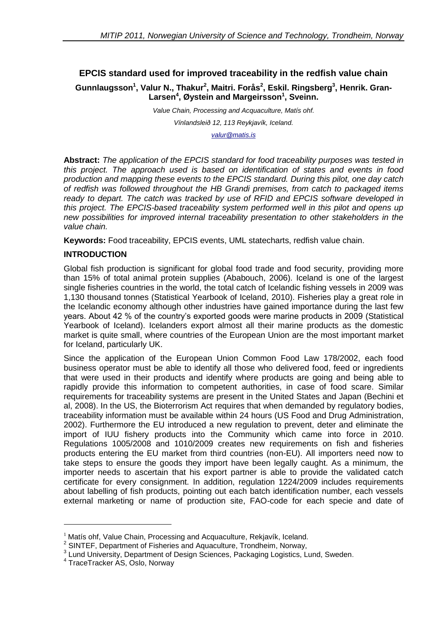# **EPCIS standard used for improved traceability in the redfish value chain**

**Gunnlaugsson<sup>1</sup> , Valur N., Thakur<sup>2</sup> , Maitri. Forås<sup>2</sup> , Eskil. Ringsberg<sup>3</sup> , Henrik. Gran-Larsen<sup>4</sup> , Øystein and Margeirsson<sup>1</sup> , Sveinn.**

> *Value Chain, Processing and Acquaculture, Matís ohf. Vínlandsleið 12, 113 Reykjavík, Iceland. [valur@matis.is](mailto:valur@matis.is)*

**Abstract:** *The application of the EPCIS standard for food traceability purposes was tested in this project. The approach used is based on identification of states and events in food production and mapping these events to the EPCIS standard. During this pilot, one day catch of redfish was followed throughout the HB Grandi premises, from catch to packaged items ready to depart. The catch was tracked by use of RFID and EPCIS software developed in this project. The EPCIS-based traceability system performed well in this pilot and opens up new possibilities for improved internal traceability presentation to other stakeholders in the value chain.*

**Keywords:** Food traceability, EPCIS events, UML statecharts, redfish value chain.

#### **INTRODUCTION**

Global fish production is significant for global food trade and food security, providing more than 15% of total animal protein supplies (Ababouch, 2006). Iceland is one of the largest single fisheries countries in the world, the total catch of Icelandic fishing vessels in 2009 was 1,130 thousand tonnes (Statistical Yearbook of Iceland, 2010). Fisheries play a great role in the Icelandic economy although other industries have gained importance during the last few years. About 42 % of the country's exported goods were marine products in 2009 (Statistical Yearbook of Iceland). Icelanders export almost all their marine products as the domestic market is quite small, where countries of the European Union are the most important market for Iceland, particularly UK.

Since the application of the European Union Common Food Law 178/2002, each food business operator must be able to identify all those who delivered food, feed or ingredients that were used in their products and identify where products are going and being able to rapidly provide this information to competent authorities, in case of food scare. Similar requirements for traceability systems are present in the United States and Japan (Bechini et al, 2008). In the US, the Bioterrorism Act requires that when demanded by regulatory bodies, traceability information must be available within 24 hours (US Food and Drug Administration, 2002). Furthermore the EU introduced a new regulation to prevent, deter and eliminate the import of IUU fishery products into the Community which came into force in 2010. Regulations 1005/2008 and 1010/2009 creates new requirements on fish and fisheries products entering the EU market from third countries (non-EU). All importers need now to take steps to ensure the goods they import have been legally caught. As a minimum, the importer needs to ascertain that his export partner is able to provide the validated catch certificate for every consignment. In addition, regulation 1224/2009 includes requirements about labelling of fish products, pointing out each batch identification number, each vessels external marketing or name of production site, FAO-code for each specie and date of

1

 $1$  Matís ohf, Value Chain, Processing and Acquaculture, Rekjavík, Iceland.

<sup>&</sup>lt;sup>2</sup> SINTEF, Department of Fisheries and Aquaculture, Trondheim, Norway,

<sup>&</sup>lt;sup>3</sup> Lund University, Department of Design Sciences, Packaging Logistics, Lund, Sweden.

<sup>4</sup> TraceTracker AS, Oslo, Norway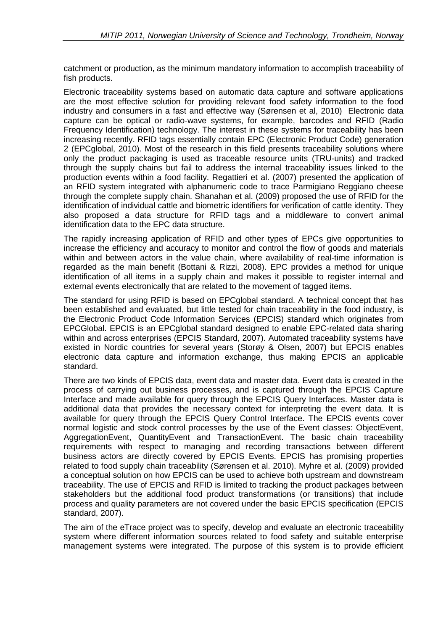catchment or production, as the minimum mandatory information to accomplish traceability of fish products.

Electronic traceability systems based on automatic data capture and software applications are the most effective solution for providing relevant food safety information to the food industry and consumers in a fast and effective way (Sørensen et al, 2010) Electronic data capture can be optical or radio-wave systems, for example, barcodes and RFID (Radio Frequency Identification) technology. The interest in these systems for traceability has been increasing recently. RFID tags essentially contain EPC (Electronic Product Code) generation 2 (EPCglobal, 2010). Most of the research in this field presents traceability solutions where only the product packaging is used as traceable resource units (TRU-units) and tracked through the supply chains but fail to address the internal traceability issues linked to the production events within a food facility. Regattieri et al. (2007) presented the application of an RFID system integrated with alphanumeric code to trace Parmigiano Reggiano cheese through the complete supply chain. Shanahan et al. (2009) proposed the use of RFID for the identification of individual cattle and biometric identifiers for verification of cattle identity. They also proposed a data structure for RFID tags and a middleware to convert animal identification data to the EPC data structure.

The rapidly increasing application of RFID and other types of EPCs give opportunities to increase the efficiency and accuracy to monitor and control the flow of goods and materials within and between actors in the value chain, where availability of real-time information is regarded as the main benefit (Bottani & Rizzi, 2008). EPC provides a method for unique identification of all items in a supply chain and makes it possible to register internal and external events electronically that are related to the movement of tagged items.

The standard for using RFID is based on EPCglobal standard. A technical concept that has been established and evaluated, but little tested for chain traceability in the food industry, is the Electronic Product Code Information Services (EPCIS) standard which originates from EPCGlobal. EPCIS is an EPCglobal standard designed to enable EPC-related data sharing within and across enterprises (EPCIS Standard, 2007). Automated traceability systems have existed in Nordic countries for several years (Storøy & Olsen, 2007) but EPCIS enables electronic data capture and information exchange, thus making EPCIS an applicable standard.

There are two kinds of EPCIS data, event data and master data. Event data is created in the process of carrying out business processes, and is captured through the EPCIS Capture Interface and made available for query through the EPCIS Query Interfaces. Master data is additional data that provides the necessary context for interpreting the event data. It is available for query through the EPCIS Query Control Interface. The EPCIS events cover normal logistic and stock control processes by the use of the Event classes: ObjectEvent, AggregationEvent, QuantityEvent and TransactionEvent. The basic chain traceability requirements with respect to managing and recording transactions between different business actors are directly covered by EPCIS Events. EPCIS has promising properties related to food supply chain traceability (Sørensen et al. 2010). Myhre et al. (2009) provided a conceptual solution on how EPCIS can be used to achieve both upstream and downstream traceability. The use of EPCIS and RFID is limited to tracking the product packages between stakeholders but the additional food product transformations (or transitions) that include process and quality parameters are not covered under the basic EPCIS specification (EPCIS standard, 2007).

The aim of the eTrace project was to specify, develop and evaluate an electronic traceability system where different information sources related to food safety and suitable enterprise management systems were integrated. The purpose of this system is to provide efficient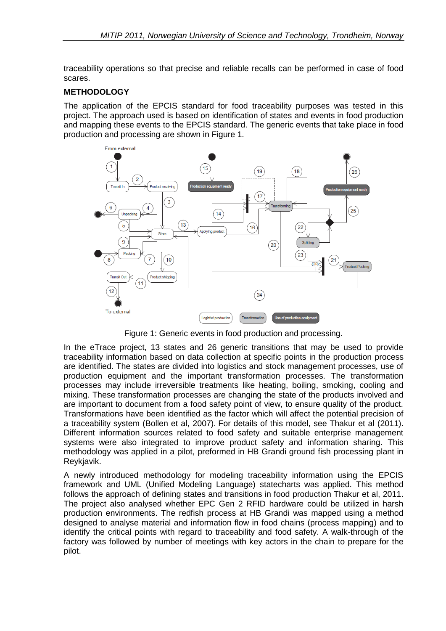traceability operations so that precise and reliable recalls can be performed in case of food scares.

#### **METHODOLOGY**

The application of the EPCIS standard for food traceability purposes was tested in this project. The approach used is based on identification of states and events in food production and mapping these events to the EPCIS standard. The generic events that take place in food production and processing are shown in Figure 1.



Figure 1: Generic events in food production and processing.

In the eTrace project, 13 states and 26 generic transitions that may be used to provide traceability information based on data collection at specific points in the production process are identified. The states are divided into logistics and stock management processes, use of production equipment and the important transformation processes. The transformation processes may include irreversible treatments like heating, boiling, smoking, cooling and mixing. These transformation processes are changing the state of the products involved and are important to document from a food safety point of view, to ensure quality of the product. Transformations have been identified as the factor which will affect the potential precision of a traceability system (Bollen et al, 2007). For details of this model, see Thakur et al (2011). Different information sources related to food safety and suitable enterprise management systems were also integrated to improve product safety and information sharing. This methodology was applied in a pilot, preformed in HB Grandi ground fish processing plant in Reykjavik.

A newly introduced methodology for modeling traceability information using the EPCIS framework and UML (Unified Modeling Language) statecharts was applied. This method follows the approach of defining states and transitions in food production Thakur et al, 2011. The project also analysed whether EPC Gen 2 RFID hardware could be utilized in harsh production environments. The redfish process at HB Grandi was mapped using a method designed to analyse material and information flow in food chains (process mapping) and to identify the critical points with regard to traceability and food safety. A walk-through of the factory was followed by number of meetings with key actors in the chain to prepare for the pilot.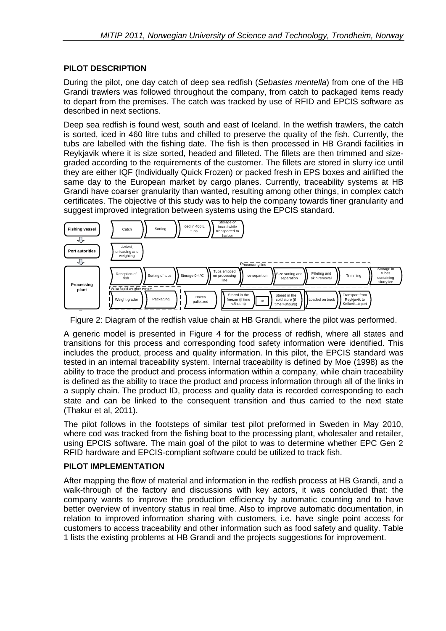# **PILOT DESCRIPTION**

During the pilot, one day catch of deep sea redfish (*Sebastes mentella*) from one of the HB Grandi trawlers was followed throughout the company, from catch to packaged items ready to depart from the premises. The catch was tracked by use of RFID and EPCIS software as described in next sections.

Deep sea redfish is found west, south and east of Iceland. In the wetfish trawlers, the catch is sorted, iced in 460 litre tubs and chilled to preserve the quality of the fish. Currently, the tubs are labelled with the fishing date. The fish is then processed in HB Grandi facilities in Reykjavik where it is size sorted, headed and filleted. The fillets are then trimmed and sizegraded according to the requirements of the customer. The fillets are stored in slurry ice until they are either IQF (Individually Quick Frozen) or packed fresh in EPS boxes and airlifted the same day to the European market by cargo planes. Currently, traceability systems at HB Grandi have coarser granularity than wanted, resulting among other things, in complex catch certificates. The objective of this study was to help the company towards finer granularity and suggest improved integration between systems using the EPCIS standard.



Figure 2: Diagram of the redfish value chain at HB Grandi, where the pilot was performed.

A generic model is presented in Figure 4 for the process of redfish, where all states and transitions for this process and corresponding food safety information were identified. This includes the product process and quality information. In this pilot, the EPCIS standard was includes the product, process and quality information. In this pilot, the EPCIS standard was tested in an internal traceability system. Internal traceability is defined by Moe (1998) as the ability to trace the product and process information within a company, while chain traceability is defined as the ability to trace the product and process information through all of the links in a supply chain. The product ID, process and quality data is recorded corresponding to each state and can be linked to the consequent transition and thus carried to the next state (Thakur et al, 2011).

The pilot follows in the footsteps of similar test pilot preformed in Sweden in May 2010, where cod was tracked from the fishing boat to the processing plant, wholesaler and retailer, using EPCIS software. The main goal of the pilot to was to determine whether EPC Gen 2 RFID hardware and EPCIS-compliant software could be utilized to track fish.

#### **PILOT IMPLEMENTATION**

After mapping the flow of material and information in the redfish process at HB Grandi, and a walk-through of the factory and discussions with key actors, it was concluded that: the company wants to improve the production efficiency by automatic counting and to have better overview of inventory status in real time. Also to improve automatic documentation, in relation to improved information sharing with customers, i.e. have single point access for customers to access traceability and other information such as food safety and quality. Table 1 lists the existing problems at HB Grandi and the projects suggestions for improvement.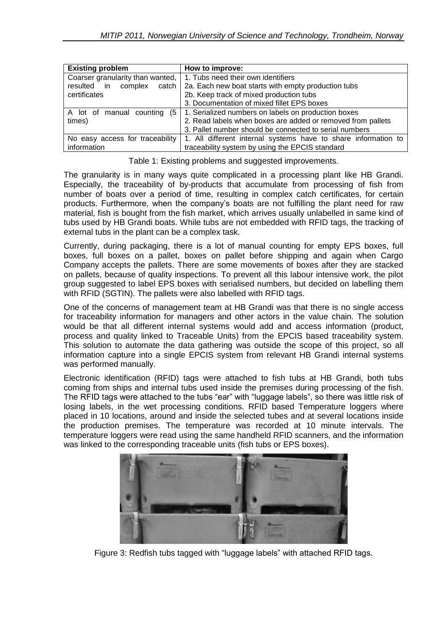| <b>Existing problem</b>          | How to improve:                                                |  |  |
|----------------------------------|----------------------------------------------------------------|--|--|
| Coarser granularity than wanted, | 1. Tubs need their own identifiers                             |  |  |
| resulted in<br>complex           | catch   2a. Each new boat starts with empty production tubs    |  |  |
| certificates                     | 2b. Keep track of mixed production tubs                        |  |  |
|                                  | 3. Documentation of mixed fillet EPS boxes                     |  |  |
| A lot of manual counting         | (5   1. Serialized numbers on labels on production boxes       |  |  |
| times)                           | 2. Read labels when boxes are added or removed from pallets    |  |  |
|                                  | 3. Pallet number should be connected to serial numbers         |  |  |
| No easy access for traceability  | 1. All different internal systems have to share information to |  |  |
| information                      | traceability system by using the EPCIS standard                |  |  |

Table 1: Existing problems and suggested improvements.

The granularity is in many ways quite complicated in a processing plant like HB Grandi. Especially, the traceability of by-products that accumulate from processing of fish from number of boats over a period of time, resulting in complex catch certificates, for certain products. Furthermore, when the company's boats are not fulfilling the plant need for raw material, fish is bought from the fish market, which arrives usually unlabelled in same kind of tubs used by HB Grandi boats. While tubs are not embedded with RFID tags, the tracking of external tubs in the plant can be a complex task.

Currently, during packaging, there is a lot of manual counting for empty EPS boxes, full boxes, full boxes on a pallet, boxes on pallet before shipping and again when Cargo Company accepts the pallets. There are some movements of boxes after they are stacked on pallets, because of quality inspections. To prevent all this labour intensive work, the pilot group suggested to label EPS boxes with serialised numbers, but decided on labelling them with RFID (SGTIN). The pallets were also labelled with RFID tags.

One of the concerns of management team at HB Grandi was that there is no single access for traceability information for managers and other actors in the value chain. The solution would be that all different internal systems would add and access information (product, process and quality linked to Traceable Units) from the EPCIS based traceability system. This solution to automate the data gathering was outside the scope of this project, so all information capture into a single EPCIS system from relevant HB Grandi internal systems was performed manually.

Electronic identification (RFID) tags were attached to fish tubs at HB Grandi, both tubs coming from ships and internal tubs used inside the premises during processing of the fish. The RFID tags were attached to the tubs "ear" with "luggage labels", so there was little risk of losing labels, in the wet processing conditions. RFID based Temperature loggers where placed in 10 locations, around and inside the selected tubes and at several locations inside the production premises. The temperature was recorded at 10 minute intervals. The temperature loggers were read using the same handheld RFID scanners, and the information was linked to the corresponding traceable units (fish tubs or EPS boxes).



Figure 3: Redfish tubs tagged with "luggage labels" with attached RFID tags.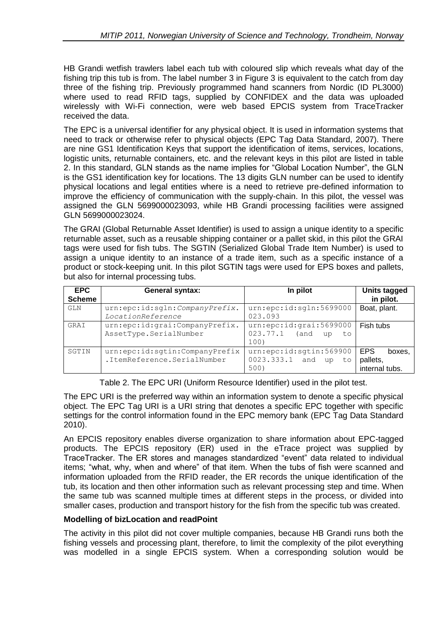HB Grandi wetfish trawlers label each tub with coloured slip which reveals what day of the fishing trip this tub is from. The label number 3 in Figure 3 is equivalent to the catch from day three of the fishing trip. Previously programmed hand scanners from Nordic (ID PL3000) where used to read RFID tags, supplied by CONFIDEX and the data was uploaded wirelessly with Wi-Fi connection, were web based EPCIS system from TraceTracker received the data.

The EPC is a universal identifier for any physical object. It is used in information systems that need to track or otherwise refer to physical objects (EPC Tag Data Standard, 2007). There are nine GS1 Identification Keys that support the identification of items, services, locations, logistic units, returnable containers, etc. and the relevant keys in this pilot are listed in table 2. In this standard, GLN stands as the name implies for "Global Location Number", the GLN is the GS1 identification key for locations. The 13 digits GLN number can be used to identify physical locations and legal entities where is a need to retrieve pre-defined information to improve the efficiency of communication with the supply-chain. In this pilot, the vessel was assigned the GLN 5699000023093, while HB Grandi processing facilities were assigned GLN 5699000023024.

The GRAI (Global Returnable Asset Identifier) is used to assign a unique identity to a specific returnable asset, such as a reusable shipping container or a pallet skid, in this pilot the GRAI tags were used for fish tubs. The SGTIN (Serialized Global Trade Item Number) is used to assign a unique identity to an instance of a trade item, such as a specific instance of a product or stock-keeping unit. In this pilot SGTIN tags were used for EPS boxes and pallets, but also for internal processing tubs.

| <b>EPC</b><br><b>Scheme</b> | <b>General syntax:</b>                                        | In pilot                                                         | <b>Units tagged</b><br>in pilot.                   |
|-----------------------------|---------------------------------------------------------------|------------------------------------------------------------------|----------------------------------------------------|
| GLN                         | urn:epc:id:sqln:CompanyPrefix.<br>LocationReference           | urn:epc:id:sqln:5699000<br>023.093                               | Boat, plant.                                       |
| GRAI                        | urn:epc:id:grai:CompanyPrefix.<br>AssetType.SerialNumber      | urn:epc:id:grai:5699000<br>023.77.1<br>(and<br>to<br>up<br>100)  | Fish tubs                                          |
| SGTIN                       | urn:epc:id:sgtin:CompanyPrefix<br>.ItemReference.SerialNumber | urn:epc:id:sqtin:569900<br>0023.333.1<br>and<br>up<br>to<br>500) | <b>EPS</b><br>boxes.<br>pallets,<br>internal tubs. |

Table 2. The EPC URI (Uniform Resource Identifier) used in the pilot test.

The EPC URI is the preferred way within an information system to denote a specific physical object. The EPC Tag URI is a URI string that denotes a specific EPC together with specific settings for the control information found in the EPC memory bank (EPC Tag Data Standard 2010).

An EPCIS repository enables diverse organization to share information about EPC-tagged products. The EPCIS repository (ER) used in the eTrace project was supplied by TraceTracker. The ER stores and manages standardized "event" data related to individual items; "what, why, when and where" of that item. When the tubs of fish were scanned and information uploaded from the RFID reader, the ER records the unique identification of the tub, its location and then other information such as relevant processing step and time. When the same tub was scanned multiple times at different steps in the process, or divided into smaller cases, production and transport history for the fish from the specific tub was created.

#### **Modelling of bizLocation and readPoint**

The activity in this pilot did not cover multiple companies, because HB Grandi runs both the fishing vessels and processing plant, therefore, to limit the complexity of the pilot everything was modelled in a single EPCIS system. When a corresponding solution would be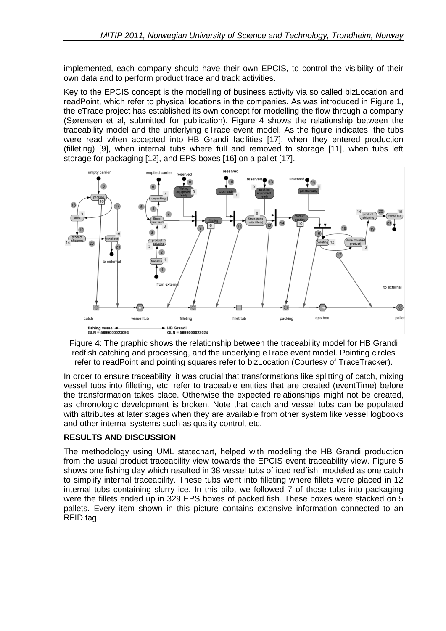implemented, each company should have their own EPCIS, to control the visibility of their own data and to perform product trace and track activities.

Key to the EPCIS concept is the modelling of business activity via so called bizLocation and readPoint, which refer to physical locations in the companies. As was introduced in Figure 1, the eTrace project has established its own concept for modelling the flow through a company (Sørensen et al, submitted for publication). Figure 4 shows the relationship between the traceability model and the underlying eTrace event model. As the figure indicates, the tubs were read when accepted into HB Grandi facilities [17], when they entered production (filleting) [9], when internal tubs where full and removed to storage [11], when tubs left storage for packaging [12], and EPS boxes [16] on a pallet [17].



Figure 4: The graphic shows the relationship between the traceability model for HB Grandi redfish catching and processing, and the underlying eTrace event model. Pointing circles refer to readPoint and pointing squares refer to bizLocation (Courtesy of TraceTracker).

In order to ensure traceability, it was crucial that transformations like splitting of catch, mixing vessel tubs into filleting, etc. refer to traceable entities that are created (eventTime) before the transformation takes place. Otherwise the expected relationships might not be created, as chronologic development is broken. Note that catch and vessel tubs can be populated with attributes at later stages when they are available from other system like vessel logbooks and other internal systems such as quality control, etc.

#### **RESULTS AND DISCUSSION**

The methodology using UML statechart, helped with modeling the HB Grandi production from the usual product traceability view towards the EPCIS event traceability view. Figure 5 shows one fishing day which resulted in 38 vessel tubs of iced redfish, modeled as one catch to simplify internal traceability. These tubs went into filleting where fillets were placed in 12 internal tubs containing slurry ice. In this pilot we followed 7 of those tubs into packaging were the fillets ended up in 329 EPS boxes of packed fish. These boxes were stacked on 5 pallets. Every item shown in this picture contains extensive information connected to an RFID tag.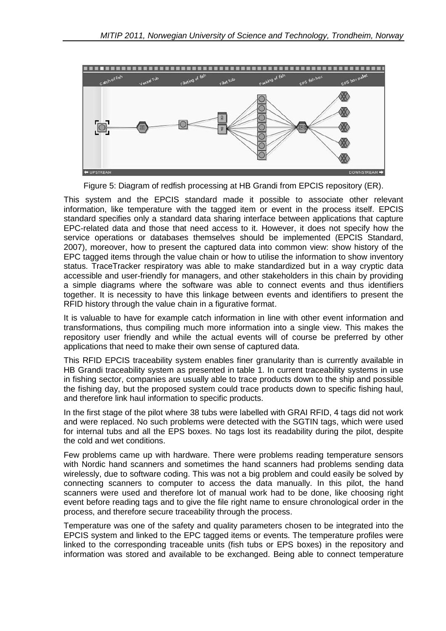

Figure 5: Diagram of redfish processing at HB Grandi from EPCIS repository (ER).

This system and the EPCIS standard made it possible to associate other relevant information, like temperature with the tagged item or event in the process itself. EPCIS standard specifies only a standard data sharing interface between applications that capture EPC-related data and those that need access to it. However, it does not specify how the service operations or databases themselves should be implemented (EPCIS Standard, 2007), moreover, how to present the captured data into common view: show history of the EPC tagged items through the value chain or how to utilise the information to show inventory status. TraceTracker respiratory was able to make standardized but in a way cryptic data accessible and user-friendly for managers, and other stakeholders in this chain by providing a simple diagrams where the software was able to connect events and thus identifiers together. It is necessity to have this linkage between events and identifiers to present the RFID history through the value chain in a figurative format.

It is valuable to have for example catch information in line with other event information and transformations, thus compiling much more information into a single view. This makes the repository user friendly and while the actual events will of course be preferred by other applications that need to make their own sense of captured data.

This RFID EPCIS traceability system enables finer granularity than is currently available in HB Grandi traceability system as presented in table 1. In current traceability systems in use in fishing sector, companies are usually able to trace products down to the ship and possible the fishing day, but the proposed system could trace products down to specific fishing haul, and therefore link haul information to specific products.

In the first stage of the pilot where 38 tubs were labelled with GRAI RFID, 4 tags did not work and were replaced. No such problems were detected with the SGTIN tags, which were used for internal tubs and all the EPS boxes. No tags lost its readability during the pilot, despite the cold and wet conditions.

Few problems came up with hardware. There were problems reading temperature sensors with Nordic hand scanners and sometimes the hand scanners had problems sending data wirelessly, due to software coding. This was not a big problem and could easily be solved by connecting scanners to computer to access the data manually. In this pilot, the hand scanners were used and therefore lot of manual work had to be done, like choosing right event before reading tags and to give the file right name to ensure chronological order in the process, and therefore secure traceability through the process.

Temperature was one of the safety and quality parameters chosen to be integrated into the EPCIS system and linked to the EPC tagged items or events. The temperature profiles were linked to the corresponding traceable units (fish tubs or EPS boxes) in the repository and information was stored and available to be exchanged. Being able to connect temperature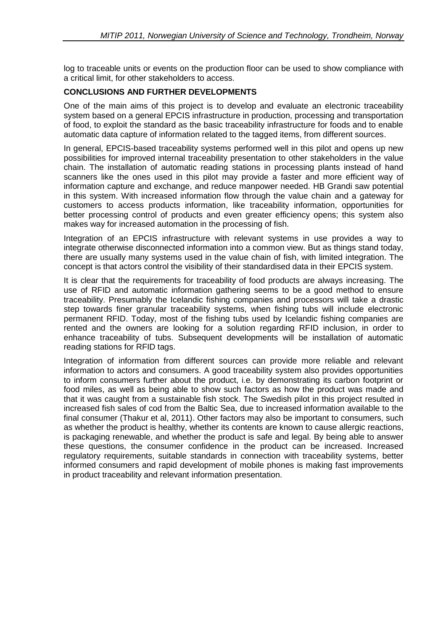log to traceable units or events on the production floor can be used to show compliance with a critical limit, for other stakeholders to access.

### **CONCLUSIONS AND FURTHER DEVELOPMENTS**

One of the main aims of this project is to develop and evaluate an electronic traceability system based on a general EPCIS infrastructure in production, processing and transportation of food, to exploit the standard as the basic traceability infrastructure for foods and to enable automatic data capture of information related to the tagged items, from different sources.

In general, EPCIS-based traceability systems performed well in this pilot and opens up new possibilities for improved internal traceability presentation to other stakeholders in the value chain. The installation of automatic reading stations in processing plants instead of hand scanners like the ones used in this pilot may provide a faster and more efficient way of information capture and exchange, and reduce manpower needed. HB Grandi saw potential in this system. With increased information flow through the value chain and a gateway for customers to access products information, like traceability information, opportunities for better processing control of products and even greater efficiency opens; this system also makes way for increased automation in the processing of fish.

Integration of an EPCIS infrastructure with relevant systems in use provides a way to integrate otherwise disconnected information into a common view. But as things stand today, there are usually many systems used in the value chain of fish, with limited integration. The concept is that actors control the visibility of their standardised data in their EPCIS system.

It is clear that the requirements for traceability of food products are always increasing. The use of RFID and automatic information gathering seems to be a good method to ensure traceability. Presumably the Icelandic fishing companies and processors will take a drastic step towards finer granular traceability systems, when fishing tubs will include electronic permanent RFID. Today, most of the fishing tubs used by Icelandic fishing companies are rented and the owners are looking for a solution regarding RFID inclusion, in order to enhance traceability of tubs. Subsequent developments will be installation of automatic reading stations for RFID tags.

Integration of information from different sources can provide more reliable and relevant information to actors and consumers. A good traceability system also provides opportunities to inform consumers further about the product, i.e. by demonstrating its carbon footprint or food miles, as well as being able to show such factors as how the product was made and that it was caught from a sustainable fish stock. The Swedish pilot in this project resulted in increased fish sales of cod from the Baltic Sea, due to increased information available to the final consumer (Thakur et al, 2011). Other factors may also be important to consumers, such as whether the product is healthy, whether its contents are known to cause allergic reactions, is packaging renewable, and whether the product is safe and legal. By being able to answer these questions, the consumer confidence in the product can be increased. Increased regulatory requirements, suitable standards in connection with traceability systems, better informed consumers and rapid development of mobile phones is making fast improvements in product traceability and relevant information presentation.